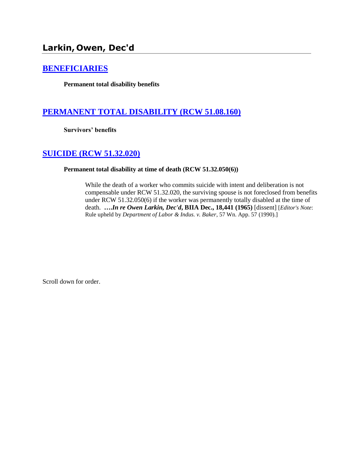# **Larkin, Owen, Dec'd**

### **[BENEFICIARIES](http://www.biia.wa.gov/SDSubjectIndex.html#BENEFICIARIES)**

**Permanent total disability benefits**

# **[PERMANENT TOTAL DISABILITY \(RCW 51.08.160\)](http://www.biia.wa.gov/SDSubjectIndex.html#PERMANENT_TOTAL_DISABILITY)**

**Survivors' benefits**

### **[SUICIDE \(RCW 51.32.020\)](http://www.biia.wa.gov/SDSubjectIndex.html#SUICIDE)**

### **Permanent total disability at time of death (RCW 51.32.050(6))**

While the death of a worker who commits suicide with intent and deliberation is not compensable under RCW 51.32.020, the surviving spouse is not foreclosed from benefits under RCW 51.32.050(6) if the worker was permanently totally disabled at the time of death. **….***In re Owen Larkin, Dec'd***, BIIA Dec., 18,441 (1965)** [dissent] [*Editor's Note*: Rule upheld by *Department of Labor & Indus. v. Baker*, 57 Wn. App. 57 (1990).]

Scroll down for order.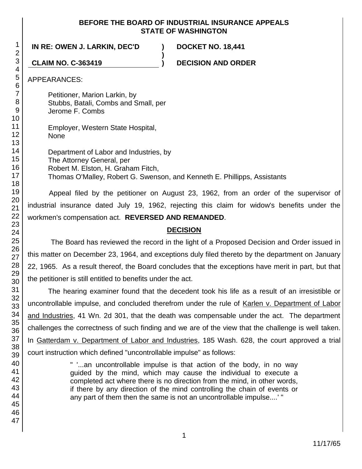### **BEFORE THE BOARD OF INDUSTRIAL INSURANCE APPEALS STATE OF WASHINGTON**

**IN RE: OWEN J. LARKIN, DEC'D ) DOCKET NO. 18,441**

**CLAIM NO. C-363419 ) DECISION AND ORDER**

APPEARANCES:

Petitioner, Marion Larkin, by Stubbs, Batali, Combs and Small, per Jerome F. Combs

Employer, Western State Hospital, None

Department of Labor and Industries, by The Attorney General, per Robert M. Elston, H. Graham Fitch, Thomas O'Malley, Robert G. Swenson, and Kenneth E. Phillipps, Assistants

**)**

Appeal filed by the petitioner on August 23, 1962, from an order of the supervisor of industrial insurance dated July 19, 1962, rejecting this claim for widow's benefits under the workmen's compensation act. **REVERSED AND REMANDED**.

## **DECISION**

The Board has reviewed the record in the light of a Proposed Decision and Order issued in this matter on December 23, 1964, and exceptions duly filed thereto by the department on January 22, 1965. As a result thereof, the Board concludes that the exceptions have merit in part, but that the petitioner is still entitled to benefits under the act.

The hearing examiner found that the decedent took his life as a result of an irresistible or uncontrollable impulse, and concluded therefrom under the rule of Karlen v. Department of Labor and Industries, 41 Wn. 2d 301, that the death was compensable under the act. The department challenges the correctness of such finding and we are of the view that the challenge is well taken. In Gatterdam v. Department of Labor and Industries, 185 Wash. 628, the court approved a trial court instruction which defined "uncontrollable impulse" as follows:

> " '...an uncontrollable impulse is that action of the body, in no way guided by the mind, which may cause the individual to execute a completed act where there is no direction from the mind, in other words, if there by any direction of the mind controlling the chain of events or any part of them then the same is not an uncontrollable impulse....' "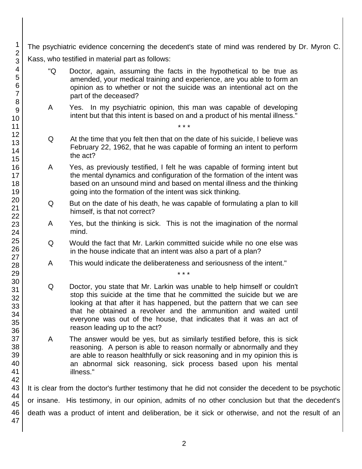The psychiatric evidence concerning the decedent's state of mind was rendered by Dr. Myron C. Kass, who testified in material part as follows:

- "Q Doctor, again, assuming the facts in the hypothetical to be true as amended, your medical training and experience, are you able to form an opinion as to whether or not the suicide was an intentional act on the part of the deceased?
- A Yes. In my psychiatric opinion, this man was capable of developing intent but that this intent is based on and a product of his mental illness."

\* \* \*

- Q At the time that you felt then that on the date of his suicide, I believe was February 22, 1962, that he was capable of forming an intent to perform the act?
- A Yes, as previously testified, I felt he was capable of forming intent but the mental dynamics and configuration of the formation of the intent was based on an unsound mind and based on mental illness and the thinking going into the formation of the intent was sick thinking.
- Q But on the date of his death, he was capable of formulating a plan to kill himself, is that not correct?
- A Yes, but the thinking is sick. This is not the imagination of the normal mind.
- Q Would the fact that Mr. Larkin committed suicide while no one else was in the house indicate that an intent was also a part of a plan?

\* \* \*

- A This would indicate the deliberateness and seriousness of the intent."
- Q Doctor, you state that Mr. Larkin was unable to help himself or couldn't stop this suicide at the time that he committed the suicide but we are looking at that after it has happened, but the pattern that we can see that he obtained a revolver and the ammunition and waited until everyone was out of the house, that indicates that it was an act of reason leading up to the act?
- A The answer would be yes, but as similarly testified before, this is sick reasoning. A person is able to reason normally or abnormally and they are able to reason healthfully or sick reasoning and in my opinion this is an abnormal sick reasoning, sick process based upon his mental illness."

It is clear from the doctor's further testimony that he did not consider the decedent to be psychotic or insane. His testimony, in our opinion, admits of no other conclusion but that the decedent's death was a product of intent and deliberation, be it sick or otherwise, and not the result of an

1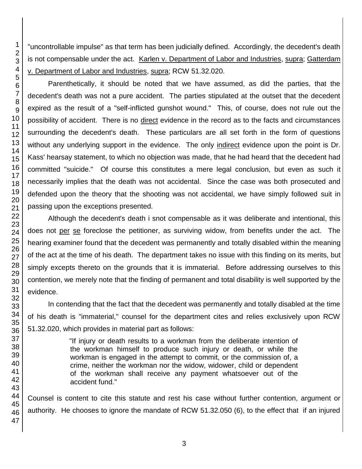"uncontrollable impulse" as that term has been judicially defined. Accordingly, the decedent's death is not compensable under the act. Karlen v. Department of Labor and Industries, supra; Gatterdam v. Department of Labor and Industries, supra; RCW 51.32.020.

Parenthetically, it should be noted that we have assumed, as did the parties, that the decedent's death was not a pure accident. The parties stipulated at the outset that the decedent expired as the result of a "self-inflicted gunshot wound." This, of course, does not rule out the possibility of accident. There is no direct evidence in the record as to the facts and circumstances surrounding the decedent's death. These particulars are all set forth in the form of questions without any underlying support in the evidence. The only indirect evidence upon the point is Dr. Kass' hearsay statement, to which no objection was made, that he had heard that the decedent had committed "suicide." Of course this constitutes a mere legal conclusion, but even as such it necessarily implies that the death was not accidental. Since the case was both prosecuted and defended upon the theory that the shooting was not accidental, we have simply followed suit in passing upon the exceptions presented.

Although the decedent's death i snot compensable as it was deliberate and intentional, this does not per se foreclose the petitioner, as surviving widow, from benefits under the act. The hearing examiner found that the decedent was permanently and totally disabled within the meaning of the act at the time of his death. The department takes no issue with this finding on its merits, but simply excepts thereto on the grounds that it is immaterial. Before addressing ourselves to this contention, we merely note that the finding of permanent and total disability is well supported by the evidence.

In contending that the fact that the decedent was permanently and totally disabled at the time of his death is "immaterial," counsel for the department cites and relies exclusively upon RCW 51.32.020, which provides in material part as follows:

> "If injury or death results to a workman from the deliberate intention of the workman himself to produce such injury or death, or while the workman is engaged in the attempt to commit, or the commission of, a crime, neither the workman nor the widow, widower, child or dependent of the workman shall receive any payment whatsoever out of the accident fund."

Counsel is content to cite this statute and rest his case without further contention, argument or authority. He chooses to ignore the mandate of RCW 51.32.050 (6), to the effect that if an injured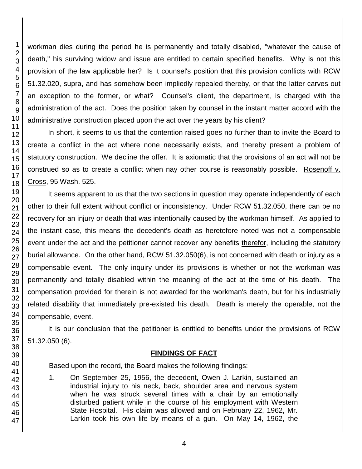workman dies during the period he is permanently and totally disabled, "whatever the cause of death," his surviving widow and issue are entitled to certain specified benefits. Why is not this provision of the law applicable her? Is it counsel's position that this provision conflicts with RCW 51.32.020, supra, and has somehow been impliedly repealed thereby, or that the latter carves out an exception to the former, or what? Counsel's client, the department, is charged with the administration of the act. Does the position taken by counsel in the instant matter accord with the administrative construction placed upon the act over the years by his client?

In short, it seems to us that the contention raised goes no further than to invite the Board to create a conflict in the act where none necessarily exists, and thereby present a problem of statutory construction. We decline the offer. It is axiomatic that the provisions of an act will not be construed so as to create a conflict when nay other course is reasonably possible. Rosenoff v. Cross, 95 Wash. 525.

It seems apparent to us that the two sections in question may operate independently of each other to their full extent without conflict or inconsistency. Under RCW 51.32.050, there can be no recovery for an injury or death that was intentionally caused by the workman himself. As applied to the instant case, this means the decedent's death as heretofore noted was not a compensable event under the act and the petitioner cannot recover any benefits therefor, including the statutory burial allowance. On the other hand, RCW 51.32.050(6), is not concerned with death or injury as a compensable event. The only inquiry under its provisions is whether or not the workman was permanently and totally disabled within the meaning of the act at the time of his death. The compensation provided for therein is not awarded for the workman's death, but for his industrially related disability that immediately pre-existed his death. Death is merely the operable, not the compensable, event.

It is our conclusion that the petitioner is entitled to benefits under the provisions of RCW 51.32.050 (6).

### **FINDINGS OF FACT**

Based upon the record, the Board makes the following findings:

1. On September 25, 1956, the decedent, Owen J. Larkin, sustained an industrial injury to his neck, back, shoulder area and nervous system when he was struck several times with a chair by an emotionally disturbed patient while in the course of his employment with Western State Hospital. His claim was allowed and on February 22, 1962, Mr. Larkin took his own life by means of a gun. On May 14, 1962, the

1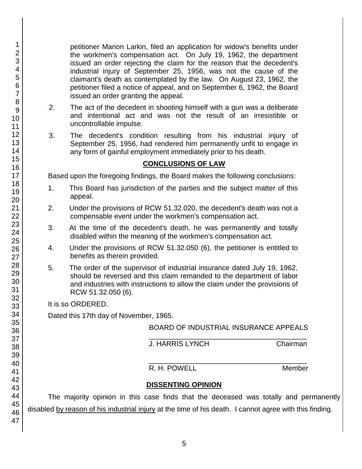petitioner Marion Larkin, filed an application for widow's benefits under the workmen's compensation act. On July 19, 1962, the department issued an order rejecting the claim for the reason that the decedent's industrial injury of September 25, 1956, was not the cause of the claimant's death as contemplated by the law. On August 23, 1962, the petitioner filed a notice of appeal, and on September 6, 1962, the Board issued an order granting the appeal.

- 2. The act of the decedent in shooting himself with a gun was a deliberate and intentional act and was not the result of an irresistible or uncontrollable impulse.
- 3. The decedent's condition resulting from his industrial injury of September 25, 1956, had rendered him permanently unfit to engage in any form of gainful employment immediately prior to his death.

### **CONCLUSIONS OF LAW**

Based upon the foregoing findings, the Board makes the following conclusions:

- 1. This Board has jurisdiction of the parties and the subject matter of this appeal.
- 2. Under the provisions of RCW 51.32.020, the decedent's death was not a compensable event under the workmen's compensation act.
- 3. At the time of the decedent's death, he was permanently and totally disabled within the meaning of the workmen's compensation act.
- 4. Under the provisions of RCW 51.32.050 (6), the petitioner is entitled to benefits as therein provided.
- 5. The order of the supervisor of industrial insurance dated July 19, 1962, should be reversed and this claim remanded to the department of labor and industries with instructions to allow the claim under the provisions of RCW 51.32.050 (6).

It is so ORDERED.

Dated this 17th day of November, 1965.

BOARD OF INDUSTRIAL INSURANCE APPEALS \_\_\_\_\_\_\_\_\_\_\_\_\_\_\_\_\_\_\_\_\_\_\_\_\_\_\_\_\_\_\_\_\_\_\_\_\_\_\_\_

J. HARRIS LYNCH Chairman

\_\_\_\_\_\_\_\_\_\_\_\_\_\_\_\_\_\_\_\_\_\_\_\_\_\_\_\_\_\_\_\_\_\_\_\_\_\_\_\_ R. H. POWELL Member

# **DISSENTING OPINION**

The majority opinion in this case finds that the deceased was totally and permanently disabled by reason of his industrial injury at the time of his death. I cannot agree with this finding.